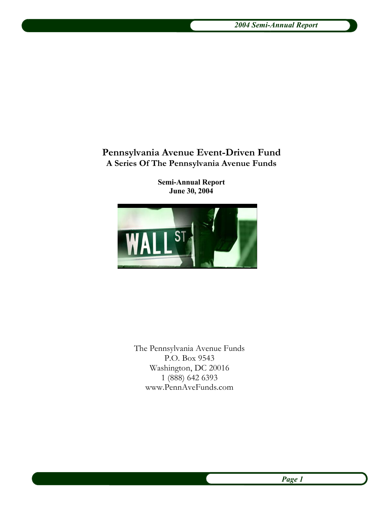# **Pennsylvania Avenue Event-Driven Fund A Series Of The Pennsylvania Avenue Funds**

**Semi-Annual Report June 30, 2004**



The Pennsylvania Avenue Funds P.O. Box 9543 Washington, DC 20016 1 (888) 642 6393 www.PennAveFunds.com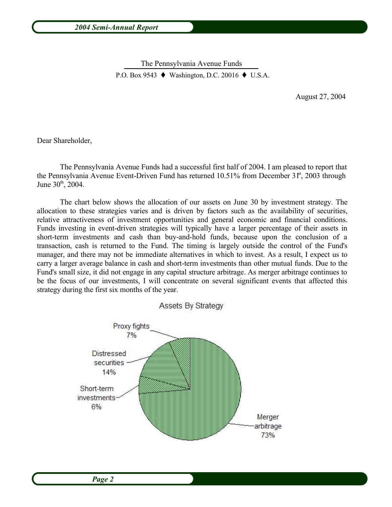The Pennsylvania Avenue Funds The Femisylvania  $T$  venue Funds P.O. Box 9543  $\blacklozenge$  Washington, D.C. 20016  $\blacklozenge$  U.S.A.

August 27, 2004

Dear Shareholder,

The Pennsylvania Avenue Funds had a successful first half of 2004. I am pleased to report that the Pennsylvania Avenue Event-Driven Fund has returned 10.51% from December 3 f<sup>st</sup>, 2003 through June 30<sup>th</sup>, 2004.

The chart below shows the allocation of our assets on June 30 by investment strategy. The allocation to these strategies varies and is driven by factors such as the availability of securities, relative attractiveness of investment opportunities and general economic and financial conditions. Funds investing in event-driven strategies will typically have a larger percentage of their assets in short-term investments and cash than buy-and-hold funds, because upon the conclusion of a transaction, cash is returned to the Fund. The timing is largely outside the control of the Fund's manager, and there may not be immediate alternatives in which to invest. As a result, I expect us to carry a larger average balance in cash and short-term investments than other mutual funds. Due to the Fund's small size, it did not engage in any capital structure arbitrage. As merger arbitrage continues to be the focus of our investments, I will concentrate on several significant events that affected this strategy during the first six months of the year.

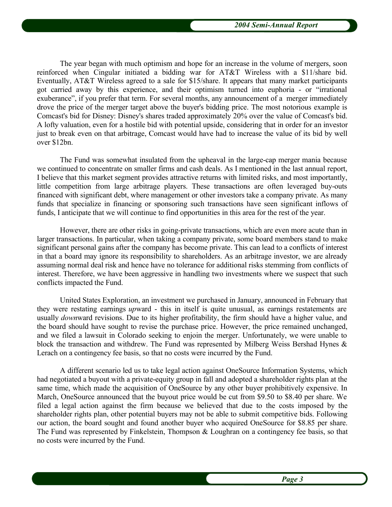The year began with much optimism and hope for an increase in the volume of mergers, soon reinforced when Cingular initiated a bidding war for AT&T Wireless with a \$11/share bid. Eventually, AT&T Wireless agreed to a sale for \$15/share. It appears that many market participants got carried away by this experience, and their optimism turned into euphoria - or "irrational exuberance", if you prefer that term. For several months, any announcement of a merger immediately drove the price of the merger target above the buyer's bidding price. The most notorious example is Comcast's bid for Disney: Disney's shares traded approximately 20% over the value of Comcast's bid. A lofty valuation, even for a hostile bid with potential upside, considering that in order for an investor just to break even on that arbitrage, Comcast would have had to increase the value of its bid by well over \$12bn.

The Fund was somewhat insulated from the upheaval in the large-cap merger mania because we continued to concentrate on smaller firms and cash deals. As I mentioned in the last annual report, I believe that this market segment provides attractive returns with limited risks, and most importantly, little competition from large arbitrage players. These transactions are often leveraged buy-outs financed with significant debt, where management or other investors take a company private. As many funds that specialize in financing or sponsoring such transactions have seen significant inflows of funds, I anticipate that we will continue to find opportunities in this area for the rest of the year.

However, there are other risks in going-private transactions, which are even more acute than in larger transactions. In particular, when taking a company private, some board members stand to make significant personal gains after the company has become private. This can lead to a conflicts of interest in that a board may ignore its responsibility to shareholders. As an arbitrage investor, we are already assuming normal deal risk and hence have no tolerance for additional risks stemming from conflicts of interest. Therefore, we have been aggressive in handling two investments where we suspect that such conflicts impacted the Fund.

United States Exploration, an investment we purchased in January, announced in February that they were restating earnings *up*ward - this in itself is quite unusual, as earnings restatements are usually *down*ward revisions. Due to its higher profitability, the firm should have a higher value, and the board should have sought to revise the purchase price. However, the price remained unchanged, and we filed a lawsuit in Colorado seeking to enjoin the merger. Unfortunately, we were unable to block the transaction and withdrew. The Fund was represented by Milberg Weiss Bershad Hynes & Lerach on a contingency fee basis, so that no costs were incurred by the Fund.

A different scenario led us to take legal action against OneSource Information Systems, which had negotiated a buyout with a private-equity group in fall and adopted a shareholder rights plan at the same time, which made the acquisition of OneSource by any other buyer prohibitively expensive. In March, OneSource announced that the buyout price would be cut from \$9.50 to \$8.40 per share. We filed a legal action against the firm because we believed that due to the costs imposed by the shareholder rights plan, other potential buyers may not be able to submit competitive bids. Following our action, the board sought and found another buyer who acquired OneSource for \$8.85 per share. The Fund was represented by Finkelstein, Thompson & Loughran on a contingency fee basis, so that no costs were incurred by the Fund.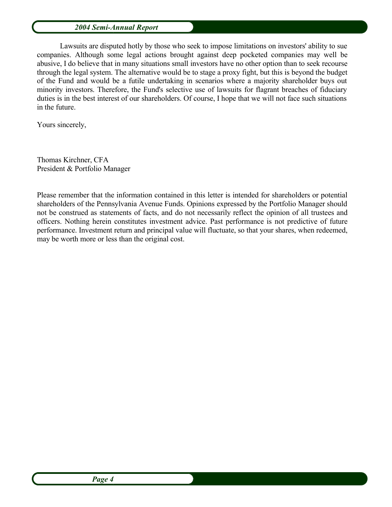Lawsuits are disputed hotly by those who seek to impose limitations on investors' ability to sue companies. Although some legal actions brought against deep pocketed companies may well be abusive, I do believe that in many situations small investors have no other option than to seek recourse through the legal system. The alternative would be to stage a proxy fight, but this is beyond the budget of the Fund and would be a futile undertaking in scenarios where a majority shareholder buys out minority investors. Therefore, the Fund's selective use of lawsuits for flagrant breaches of fiduciary duties is in the best interest of our shareholders. Of course, I hope that we will not face such situations in the future.

Yours sincerely,

Thomas Kirchner, CFA President & Portfolio Manager

Please remember that the information contained in this letter is intended for shareholders or potential shareholders of the Pennsylvania Avenue Funds. Opinions expressed by the Portfolio Manager should not be construed as statements of facts, and do not necessarily reflect the opinion of all trustees and officers. Nothing herein constitutes investment advice. Past performance is not predictive of future performance. Investment return and principal value will fluctuate, so that your shares, when redeemed, may be worth more or less than the original cost.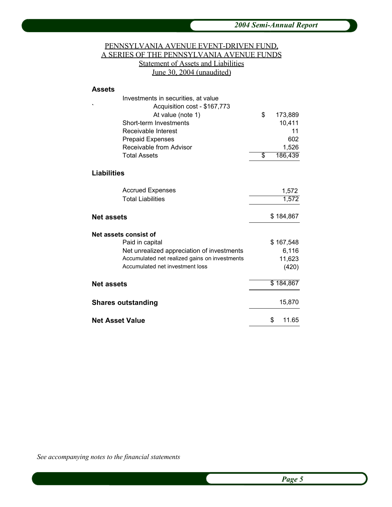## PENNSYLVANIA AVENUE EVENT-DRIVEN FUND, A SERIES OF THE PENNSYLVANIA AVENUE FUNDS Statement of Assets and Liabilities June 30, 2004 (unaudited)

#### **Assets**

| Investments in securities, at value               |               |
|---------------------------------------------------|---------------|
| Acquisition cost - \$167,773<br>At value (note 1) | \$<br>173,889 |
| Short-term Investments                            | 10,411        |
| Receivable Interest                               | 11            |
| <b>Prepaid Expenses</b>                           | 602           |
| Receivable from Advisor                           | 1,526         |
| <b>Total Assets</b>                               | \$<br>186,439 |
| Liabilities                                       |               |
| <b>Accrued Expenses</b>                           | 1,572         |
| <b>Total Liabilities</b>                          | 1,572         |
| Net assets                                        | \$184,867     |
| Net assets consist of                             |               |
| Paid in capital                                   | \$167,548     |
| Net unrealized appreciation of investments        | 6,116         |
| Accumulated net realized gains on investments     | 11,623        |
| Accumulated net investment loss                   | (420)         |
| <b>Net assets</b>                                 | \$184,867     |
| Shares outstanding                                | 15,870        |
| Net Asset Value                                   | 11.65<br>\$   |

*See accompanying notes to the financial statements*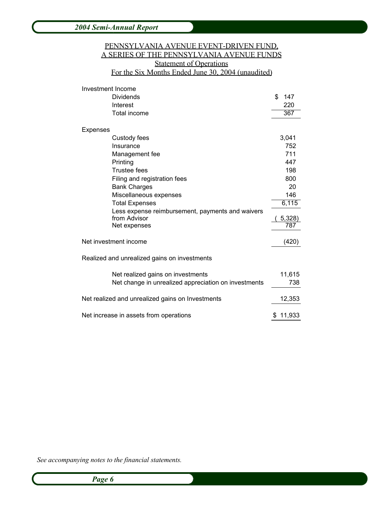## PENNSYLVANIA AVENUE EVENT-DRIVEN FUND, A SERIES OF THE PENNSYLVANIA AVENUE FUNDS **Statement of Operations** For the Six Months Ended June 30, 2004 (unaudited)

| Investment Income                                                |               |
|------------------------------------------------------------------|---------------|
| Dividends                                                        | \$<br>147     |
| Interest                                                         | 220           |
| <b>Total income</b>                                              | 367           |
| Expenses                                                         |               |
| Custody fees                                                     | 3,041         |
| Insurance                                                        | 752           |
| Management fee                                                   | 711           |
| Printing                                                         | 447           |
| <b>Trustee fees</b>                                              | 198           |
| Filing and registration fees                                     | 800           |
| <b>Bank Charges</b>                                              | 20            |
| Miscellaneous expenses                                           | 146           |
| <b>Total Expenses</b>                                            | 6,115         |
| Less expense reimbursement, payments and waivers<br>from Advisor |               |
| Net expenses                                                     | 5,328)<br>787 |
|                                                                  |               |
| Net investment income                                            | (420)         |
| Realized and unrealized gains on investments                     |               |
| Net realized gains on investments                                | 11,615        |
| Net change in unrealized appreciation on investments             | 738           |
| Net realized and unrealized gains on Investments                 | 12,353        |
| Net increase in assets from operations                           | 11,933<br>\$  |

*See accompanying notes to the financial statements.*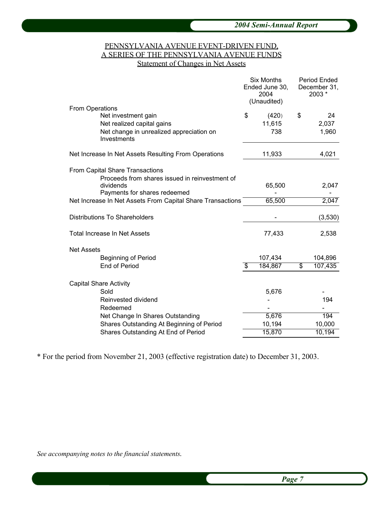### PENNSYLVANIA AVENUE EVENT-DRIVEN FUND, A SERIES OF THE PENNSYLVANIA AVENUE FUNDS Statement of Changes in Net Assets

|                                                            | <b>Six Months</b><br>Ended June 30,<br>2004<br>(Unaudited) | <b>Period Ended</b><br>December 31,<br>2003 * |
|------------------------------------------------------------|------------------------------------------------------------|-----------------------------------------------|
| From Operations                                            |                                                            |                                               |
| Net investment gain                                        | \$<br>(420)                                                | \$<br>24                                      |
| Net realized capital gains                                 | 11,615                                                     | 2,037                                         |
| Net change in unrealized appreciation on<br>Investments    | 738                                                        | 1,960                                         |
| Net Increase In Net Assets Resulting From Operations       | 11,933                                                     | 4,021                                         |
| From Capital Share Transactions                            |                                                            |                                               |
| Proceeds from shares issued in reinvestment of             |                                                            |                                               |
| dividends                                                  | 65,500                                                     | 2,047                                         |
| Payments for shares redeemed                               |                                                            |                                               |
| Net Increase In Net Assets From Capital Share Transactions | 65,500                                                     | 2,047                                         |
| <b>Distributions To Shareholders</b>                       |                                                            | (3,530)                                       |
| Total Increase In Net Assets                               | 77,433                                                     | 2,538                                         |
| <b>Net Assets</b>                                          |                                                            |                                               |
| <b>Beginning of Period</b>                                 | 107,434                                                    | 104,896                                       |
| End of Period                                              | \$<br>184,867                                              | \$<br>107,435                                 |
| <b>Capital Share Activity</b>                              |                                                            |                                               |
| Sold                                                       | 5,676                                                      |                                               |
| Reinvested dividend                                        |                                                            | 194                                           |
| Redeemed                                                   |                                                            |                                               |
| Net Change In Shares Outstanding                           | 5,676                                                      | 194                                           |
| Shares Outstanding At Beginning of Period                  | 10,194                                                     | 10,000                                        |
| Shares Outstanding At End of Period                        | 15,870                                                     | 10,194                                        |
|                                                            |                                                            |                                               |

\* For the period from November 21, 2003 (effective registration date) to December 31, 2003.

*See accompanying notes to the financial statements*.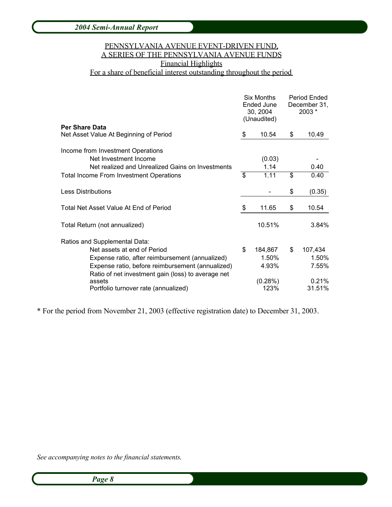# PENNSYLVANIA AVENUE EVENT-DRIVEN FUND, A SERIES OF THE PENNSYLVANIA AVENUE FUNDS Financial Highlights

# For a share of beneficial interest outstanding throughout the period

|                                                                                                        |    | <b>Six Months</b><br>Ended June<br>30, 2004<br>(Unaudited) |    | Period Ended<br>December 31,<br>2003 * |  |
|--------------------------------------------------------------------------------------------------------|----|------------------------------------------------------------|----|----------------------------------------|--|
| <b>Per Share Data</b>                                                                                  | \$ | 10.54                                                      | \$ | 10.49                                  |  |
| Net Asset Value At Beginning of Period                                                                 |    |                                                            |    |                                        |  |
| Income from Investment Operations                                                                      |    |                                                            |    |                                        |  |
| Net Investment Income                                                                                  |    | (0.03)                                                     |    |                                        |  |
| Net realized and Unrealized Gains on Investments                                                       |    | 1.14                                                       |    | 0.40                                   |  |
| <b>Total Income From Investment Operations</b>                                                         | \$ | 1.11                                                       | \$ | 0.40                                   |  |
| <b>Less Distributions</b>                                                                              |    |                                                            | \$ | (0.35)                                 |  |
| Total Net Asset Value At End of Period                                                                 | \$ | 11.65                                                      | \$ | 10.54                                  |  |
| Total Return (not annualized)                                                                          |    | 10.51%                                                     |    | 3.84%                                  |  |
| Ratios and Supplemental Data:                                                                          |    |                                                            |    |                                        |  |
| Net assets at end of Period                                                                            | \$ | 184,867                                                    | \$ | 107,434                                |  |
| Expense ratio, after reimbursement (annualized)                                                        |    | 1.50%                                                      |    | 1.50%                                  |  |
| Expense ratio, before reimbursement (annualized)<br>Ratio of net investment gain (loss) to average net |    | 4.93%                                                      |    | 7.55%                                  |  |
| assets                                                                                                 |    | (0.28%)                                                    |    | 0.21%                                  |  |
| Portfolio turnover rate (annualized)                                                                   |    | 123%                                                       |    | 31.51%                                 |  |

\* For the period from November 21, 2003 (effective registration date) to December 31, 2003.

*See accompanying notes to the financial statements*.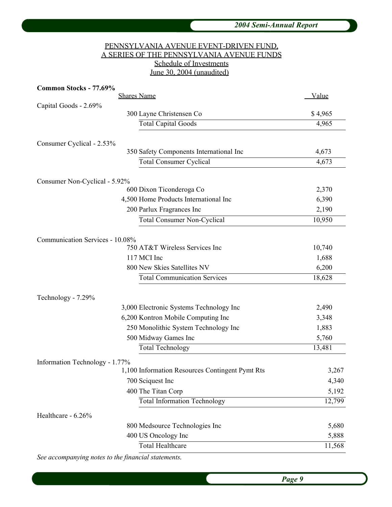## PENNSYLVANIA AVENUE EVENT-DRIVEN FUND, A SERIES OF THE PENNSYLVANIA AVENUE FUNDS Schedule of Investments June 30, 2004 (unaudited)

| Common Stocks - 77.69%          |                                                 |         |
|---------------------------------|-------------------------------------------------|---------|
| <b>Shares Name</b>              | <u>Value</u>                                    |         |
| Capital Goods - 2.69%           |                                                 |         |
|                                 | 300 Layne Christensen Co                        | \$4,965 |
|                                 | <b>Total Capital Goods</b>                      | 4,965   |
|                                 |                                                 |         |
| Consumer Cyclical - 2.53%       | 350 Safety Components International Inc         | 4,673   |
|                                 | <b>Total Consumer Cyclical</b>                  | 4,673   |
|                                 |                                                 |         |
| Consumer Non-Cyclical - 5.92%   |                                                 |         |
|                                 | 600 Dixon Ticonderoga Co                        | 2,370   |
|                                 | 4,500 Home Products International Inc           | 6,390   |
|                                 | 200 Parlux Fragrances Inc                       | 2,190   |
|                                 | <b>Total Consumer Non-Cyclical</b>              | 10,950  |
|                                 |                                                 |         |
| Communication Services - 10.08% |                                                 |         |
|                                 | 750 AT&T Wireless Services Inc                  | 10,740  |
|                                 | 117 MCI Inc                                     | 1,688   |
|                                 | 800 New Skies Satellites NV                     | 6,200   |
|                                 | <b>Total Communication Services</b>             | 18,628  |
|                                 |                                                 |         |
| Technology - 7.29%              |                                                 |         |
|                                 | 3,000 Electronic Systems Technology Inc         | 2,490   |
|                                 | 6,200 Kontron Mobile Computing Inc              | 3,348   |
|                                 | 250 Monolithic System Technology Inc            | 1,883   |
|                                 | 500 Midway Games Inc                            | 5,760   |
|                                 | <b>Total Technology</b>                         | 13,481  |
| Information Technology - 1.77%  |                                                 |         |
|                                 | 1,100 Information Resources Contingent Pymt Rts | 3,267   |
|                                 | 700 Sciquest Inc                                | 4,340   |
|                                 | 400 The Titan Corp                              | 5,192   |
|                                 | <b>Total Information Technology</b>             | 12,799  |
| Healthcare - 6.26%              |                                                 |         |
|                                 | 800 Medsource Technologies Inc                  | 5,680   |
|                                 | 400 US Oncology Inc                             | 5,888   |
|                                 | <b>Total Healthcare</b>                         | 11,568  |
|                                 |                                                 |         |

*See accompanying notes to the financial statements*.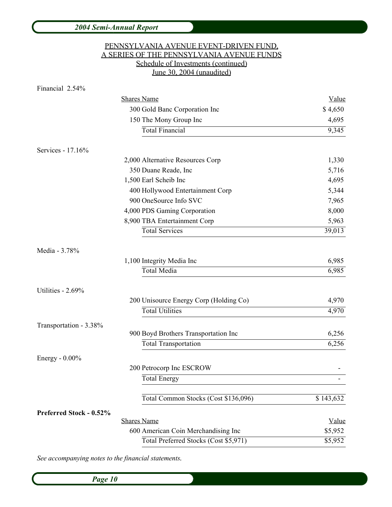| 2004 Semi-Annual Report |                                           |              |
|-------------------------|-------------------------------------------|--------------|
|                         | PENNSYLVANIA AVENUE EVENT-DRIVEN FUND,    |              |
|                         | A SERIES OF THE PENNSYLVANIA AVENUE FUNDS |              |
|                         | Schedule of Investments (continued)       |              |
|                         | June 30, 2004 (unaudited)                 |              |
| Financial 2.54%         |                                           |              |
|                         | <b>Shares Name</b>                        | <b>Value</b> |
|                         | 300 Gold Banc Corporation Inc             | \$4,650      |
|                         | 150 The Mony Group Inc                    | 4,695        |
|                         | <b>Total Financial</b>                    | 9,345        |
| Services - 17.16%       |                                           |              |
|                         | 2,000 Alternative Resources Corp          | 1,330        |
|                         | 350 Duane Reade, Inc                      | 5,716        |
|                         | 1,500 Earl Scheib Inc                     | 4,695        |
|                         | 400 Hollywood Entertainment Corp          | 5,344        |
|                         | 900 OneSource Info SVC                    | 7,965        |
|                         | 4,000 PDS Gaming Corporation              | 8,000        |
|                         | 8,900 TBA Entertainment Corp              | 5,963        |
|                         | <b>Total Services</b>                     | 39,013       |
| Media - 3.78%           |                                           |              |
|                         | 1,100 Integrity Media Inc                 | 6,985        |
|                         | <b>Total Media</b>                        | 6,985        |
| Utilities - 2.69%       |                                           |              |
|                         | 200 Unisource Energy Corp (Holding Co)    | 4,970        |
|                         | <b>Total Utilities</b>                    | 4,970        |
| Transportation - 3.38%  |                                           |              |
|                         | 900 Boyd Brothers Transportation Inc      | 6,256        |
|                         | <b>Total Transportation</b>               | 6,256        |
| Energy - $0.00\%$       |                                           |              |
|                         | 200 Petrocorp Inc ESCROW                  |              |
|                         | <b>Total Energy</b>                       |              |
|                         |                                           |              |
|                         | Total Common Stocks (Cost \$136,096)      | \$143,632    |
| Preferred Stock - 0.52% |                                           |              |
|                         | <b>Shares Name</b>                        | Value        |
|                         | 600 American Coin Merchandising Inc       | \$5,952      |
|                         | Total Preferred Stocks (Cost \$5,971)     | \$5,952      |

*See accompanying notes to the financial statements*.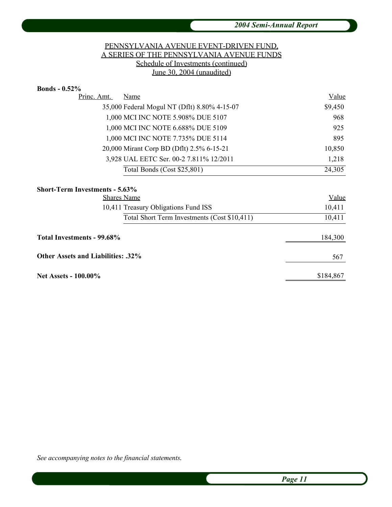## PENNSYLVANIA AVENUE EVENT-DRIVEN FUND, A SERIES OF THE PENNSYLVANIA AVENUE FUNDS Schedule of Investments (continued) June 30, 2004 (unaudited)

| <b>Bonds - 0.52%</b>                         |                                              |              |
|----------------------------------------------|----------------------------------------------|--------------|
| Princ. Amt.                                  | Name                                         | <u>Value</u> |
| 35,000 Federal Mogul NT (Dflt) 8.80% 4-15-07 |                                              | \$9,450      |
|                                              | 1,000 MCI INC NOTE 5.908% DUE 5107           | 968          |
|                                              | 1,000 MCI INC NOTE 6.688% DUE 5109           | 925          |
|                                              | 1,000 MCI INC NOTE 7.735% DUE 5114           | 895          |
|                                              | 20,000 Mirant Corp BD (Dflt) 2.5% 6-15-21    | 10,850       |
|                                              | 3,928 UAL EETC Ser. 00-2 7.811% 12/2011      | 1,218        |
|                                              | Total Bonds (Cost \$25,801)                  | 24,305       |
| <b>Short-Term Investments - 5.63%</b>        |                                              |              |
|                                              | <b>Shares Name</b>                           | Value        |
|                                              | 10,411 Treasury Obligations Fund ISS         | 10,411       |
|                                              | Total Short Term Investments (Cost \$10,411) | 10,411       |
| Total Investments - 99.68%                   |                                              | 184,300      |
| <b>Other Assets and Liabilities: .32%</b>    |                                              | 567          |
| <b>Net Assets - 100.00%</b>                  |                                              | \$184,867    |

*See accompanying notes to the financial statements*.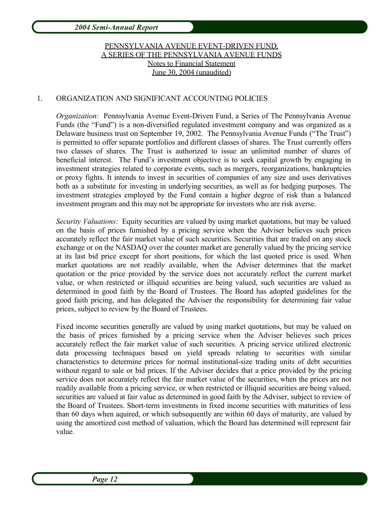# PENNSYLVANIA AVENUE EVENT-DRIVEN FUND, A SERIES OF THE PENNSYLVANIA AVENUE FUNDS Notes to Financial Statement June 30, 2004 (unaudited)

### 1. ORGANIZATION AND SIGNIFICANT ACCOUNTING POLICIES

*Organization:* Pennsylvania Avenue Event-Driven Fund, a Series of The Pennsylvania Avenue Funds (the "Fund") is a non-diversified regulated investment company and was organized as a Delaware business trust on September 19, 2002. The Pennsylvania Avenue Funds ("The Trust") is permitted to offer separate portfolios and different classes of shares. The Trust currently offers two classes of shares. The Trust is authorized to issue an unlimited number of shares of beneficial interest. The Fund's investment objective is to seek capital growth by engaging in investment strategies related to corporate events, such as mergers, reorganizations, bankruptcies or proxy fights. It intends to invest in securities of companies of any size and uses derivatives both as a substitute for investing in underlying securities, as well as for hedging purposes. The investment strategies employed by the Fund contain a higher degree of risk than a balanced investment program and this may not be appropriate for investors who are risk averse.

*Security Valuations:* Equity securities are valued by using market quotations, but may be valued on the basis of prices furnished by a pricing service when the Adviser believes such prices accurately reflect the fair market value of such securities. Securities that are traded on any stock exchange or on the NASDAQ over the counter market are generally valued by the pricing service at its last bid price except for short positions, for which the last quoted price is used. When market quotations are not readily available, when the Adviser determines that the market quotation or the price provided by the service does not accurately reflect the current market value, or when restricted or illiquid securities are being valued, such securities are valued as determined in good faith by the Board of Trustees. The Board has adopted guidelines for the good faith pricing, and has delegated the Adviser the responsibility for determining fair value prices, subject to review by the Board of Trustees.

Fixed income securities generally are valued by using market quotations, but may be valued on the basis of prices furnished by a pricing service when the Adviser believes such prices accurately reflect the fair market value of such securities. A pricing service utilized electronic data processing techniques based on yield spreads relating to securities with similar characteristics to determine prices for normal institutional-size trading units of debt securities without regard to sale or bid prices. If the Adviser decides that a price provided by the pricing service does not accurately reflect the fair market value of the securities, when the prices are not readily available from a pricing service, or when restricted or illiquid securities are being valued, securities are valued at fair value as determined in good faith by the Adviser, subject to review of the Board of Trustees. Short-term investments in fixed income securities with maturities of less than 60 days when aquired, or which subsequently are within 60 days of maturity, are valued by using the amortized cost method of valuation, which the Board has determined will represent fair value.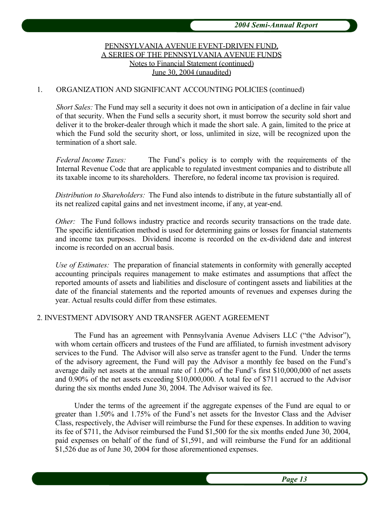## PENNSYLVANIA AVENUE EVENT-DRIVEN FUND, A SERIES OF THE PENNSYLVANIA AVENUE FUNDS Notes to Financial Statement (continued) June 30, 2004 (unaudited)

#### 1. ORGANIZATION AND SIGNIFICANT ACCOUNTING POLICIES (continued)

*Short Sales:* The Fund may sell a security it does not own in anticipation of a decline in fair value of that security. When the Fund sells a security short, it must borrow the security sold short and deliver it to the broker-dealer through which it made the short sale. A gain, limited to the price at which the Fund sold the security short, or loss, unlimited in size, will be recognized upon the termination of a short sale.

*Federal Income Taxes:* The Fund's policy is to comply with the requirements of the Internal Revenue Code that are applicable to regulated investment companies and to distribute all its taxable income to its shareholders. Therefore, no federal income tax provision is required.

*Distribution to Shareholders:* The Fund also intends to distribute in the future substantially all of its net realized capital gains and net investment income, if any, at year-end.

*Other:* The Fund follows industry practice and records security transactions on the trade date. The specific identification method is used for determining gains or losses for financial statements and income tax purposes. Dividend income is recorded on the ex-dividend date and interest income is recorded on an accrual basis.

*Use of Estimates:* The preparation of financial statements in conformity with generally accepted accounting principals requires management to make estimates and assumptions that affect the reported amounts of assets and liabilities and disclosure of contingent assets and liabilities at the date of the financial statements and the reported amounts of revenues and expenses during the year. Actual results could differ from these estimates.

#### 2. INVESTMENT ADVISORY AND TRANSFER AGENT AGREEMENT

The Fund has an agreement with Pennsylvania Avenue Advisers LLC ("the Advisor"), with whom certain officers and trustees of the Fund are affiliated, to furnish investment advisory services to the Fund. The Advisor will also serve as transfer agent to the Fund. Under the terms of the advisory agreement, the Fund will pay the Advisor a monthly fee based on the Fund's average daily net assets at the annual rate of 1.00% of the Fund's first \$10,000,000 of net assets and 0.90% of the net assets exceeding \$10,000,000. A total fee of \$711 accrued to the Advisor during the six months ended June 30, 2004. The Advisor waived its fee.

Under the terms of the agreement if the aggregate expenses of the Fund are equal to or greater than 1.50% and 1.75% of the Fund's net assets for the Investor Class and the Adviser Class, respectively, the Adviser will reimburse the Fund for these expenses. In addition to waving its fee of \$711, the Advisor reimbursed the Fund \$1,500 for the six months ended June 30, 2004, paid expenses on behalf of the fund of \$1,591, and will reimburse the Fund for an additional \$1,526 due as of June 30, 2004 for those aforementioned expenses.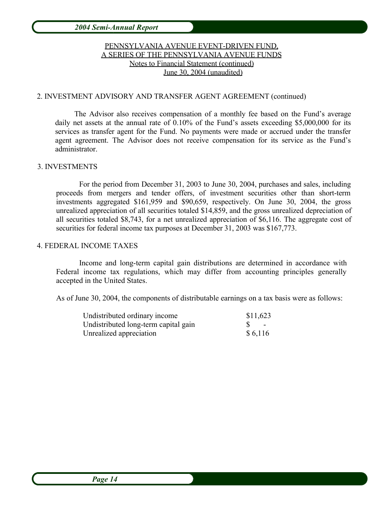# PENNSYLVANIA AVENUE EVENT-DRIVEN FUND, A SERIES OF THE PENNSYLVANIA AVENUE FUNDS Notes to Financial Statement (continued) June 30, 2004 (unaudited)

### 2. INVESTMENT ADVISORY AND TRANSFER AGENT AGREEMENT (continued)

The Advisor also receives compensation of a monthly fee based on the Fund's average daily net assets at the annual rate of 0.10% of the Fund's assets exceeding \$5,000,000 for its services as transfer agent for the Fund. No payments were made or accrued under the transfer agent agreement. The Advisor does not receive compensation for its service as the Fund's administrator.

### 3. INVESTMENTS

For the period from December 31, 2003 to June 30, 2004, purchases and sales, including proceeds from mergers and tender offers, of investment securities other than short-term investments aggregated \$161,959 and \$90,659, respectively. On June 30, 2004, the gross unrealized appreciation of all securities totaled \$14,859, and the gross unrealized depreciation of all securities totaled \$8,743, for a net unrealized appreciation of \$6,116. The aggregate cost of securities for federal income tax purposes at December 31, 2003 was \$167,773.

#### 4. FEDERAL INCOME TAXES

Income and long-term capital gain distributions are determined in accordance with Federal income tax regulations, which may differ from accounting principles generally accepted in the United States.

As of June 30, 2004, the components of distributable earnings on a tax basis were as follows:

| Undistributed ordinary income        | \$11,623 |
|--------------------------------------|----------|
| Undistributed long-term capital gain | $S =$    |
| Unrealized appreciation              | \$6,116  |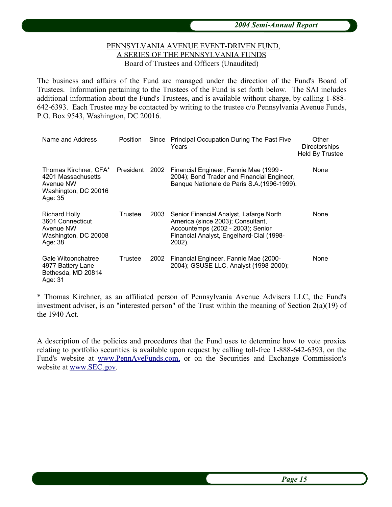## PENNSYLVANIA AVENUE EVENT-DRIVEN FUND, A SERIES OF THE PENNSYLVANIA FUNDS Board of Trustees and Officers (Unaudited)

The business and affairs of the Fund are managed under the direction of the Fund's Board of Trustees. Information pertaining to the Trustees of the Fund is set forth below. The SAI includes additional information about the Fund's Trustees, and is available without charge, by calling 1-888- 642-6393. Each Trustee may be contacted by writing to the trustee c/o Pennsylvania Avenue Funds, P.O. Box 9543, Washington, DC 20016.

| Name and Address                                                                            | Position  | Since | Principal Occupation During The Past Five<br>Years                                                                                                                      | Other<br><b>Directorships</b><br><b>Held By Trustee</b> |
|---------------------------------------------------------------------------------------------|-----------|-------|-------------------------------------------------------------------------------------------------------------------------------------------------------------------------|---------------------------------------------------------|
| Thomas Kirchner, CFA*<br>4201 Massachusetts<br>Avenue NW<br>Washington, DC 20016<br>Age: 35 | President | 2002  | Financial Engineer, Fannie Mae (1999 -<br>2004); Bond Trader and Financial Engineer,<br>Banque Nationale de Paris S.A. (1996-1999).                                     | None                                                    |
| <b>Richard Holly</b><br>3601 Connecticut<br>Avenue NW<br>Washington, DC 20008<br>Age: 38    | Trustee   | 2003  | Senior Financial Analyst, Lafarge North<br>America (since 2003); Consultant,<br>Accountemps (2002 - 2003); Senior<br>Financial Analyst, Engelhard-Clal (1998-<br>2002). | None                                                    |
| Gale Witoonchatree<br>4977 Battery Lane<br>Bethesda, MD 20814<br>Age: 31                    | Trustee   | 2002  | Financial Engineer, Fannie Mae (2000-<br>2004); GSUSE LLC, Analyst (1998-2000);                                                                                         | None                                                    |

\* Thomas Kirchner, as an affiliated person of Pennsylvania Avenue Advisers LLC, the Fund's investment adviser, is an "interested person" of the Trust within the meaning of Section 2(a)(19) of the 1940 Act.

A description of the policies and procedures that the Fund uses to determine how to vote proxies relating to portfolio securities is available upon request by calling toll-free 1-888-642-6393, on the Fund's website at www.PennAveFunds.com, or on the Securities and Exchange Commission's website at www.SEC.gov.